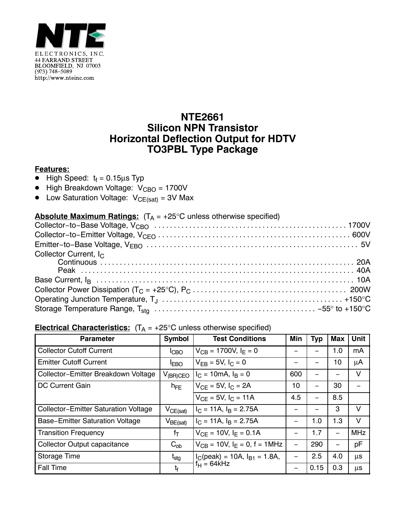

## **NTE2661 Silicon NPN Transistor Horizontal Deflection Output for HDTV TO3PBL Type Package**

## **Features:**

- High Speed: tf = 0.15μs Typ
- $\bullet$  High Breakdown Voltage:  $V_{\text{CBO}} = 1700V$
- $\bullet$  Low Saturation Voltage:  $V_{CE(sat)} = 3V$  Max

## **Absolute Maximum Ratings:**  $(T_A = +25^{\circ}C$  unless otherwise specified)

| Collector Current, $I_C$ |  |
|--------------------------|--|
|                          |  |
|                          |  |
|                          |  |
|                          |  |
|                          |  |
|                          |  |

## **Electrical Characteristics:**  $(T_A = +25^{\circ}C$  unless otherwise specified)

| <b>Parameter</b>                            | <b>Symbol</b>                            | <b>Test Conditions</b>               | Min | <b>Typ</b> | <b>Max</b> | Unit    |
|---------------------------------------------|------------------------------------------|--------------------------------------|-----|------------|------------|---------|
| <b>Collector Cutoff Current</b>             | ICBO                                     | $V_{CB}$ = 1700V, $I_F$ = 0          |     |            | 1.0        | mA      |
| <b>Emitter Cutoff Current</b>               | <b>IEBO</b>                              | $V_{FB} = 5V, I_C = 0$               |     |            | 10         | μA      |
| Collector-Emitter Breakdown Voltage         | $V_{(BR)CEO}$                            | $I_C = 10 \text{mA}, I_B = 0$        | 600 |            |            | v       |
| <b>DC Current Gain</b>                      | $h_{FE}$                                 | $V_{CF} = 5V$ , $I_C = 2A$           | 10  | —          | 30         |         |
|                                             |                                          | $V_{CF} = 5V, IC = 11A$              | 4.5 |            | 8.5        |         |
| <b>Collector-Emitter Saturation Voltage</b> | $V_{CE(sat)}$                            | $I_C = 11A$ , $I_B = 2.75A$          |     |            | 3          | $\vee$  |
| <b>Base-Emitter Saturation Voltage</b>      | $\mathsf{V}_{\mathsf{BE}(\mathsf{sat})}$ | $I_C = 11A$ , $I_B = 2.75A$          |     | 1.0        | 1.3        | $\vee$  |
| <b>Transition Frequency</b>                 | $f_T$                                    | $V_{CF} = 10V$ , $I_F = 0.1A$        |     | 1.7        | —          | MHz     |
| <b>Collector Output capacitance</b>         | $C_{ob}$                                 | $V_{CB}$ = 10V, $I_F$ = 0, f = 1MHz  |     | 290        | —          | pF      |
| <b>Storage Time</b>                         | t <sub>stg</sub>                         | $I_C$ (peak) = 10A, $I_{B1}$ = 1.8A, |     | 2.5        | 4.0        | $\mu$ s |
| <b>Fall Time</b>                            | $t_{\rm f}$                              | $f_H = 64kHz$                        |     | 0.15       | 0.3        | $\mu$ s |